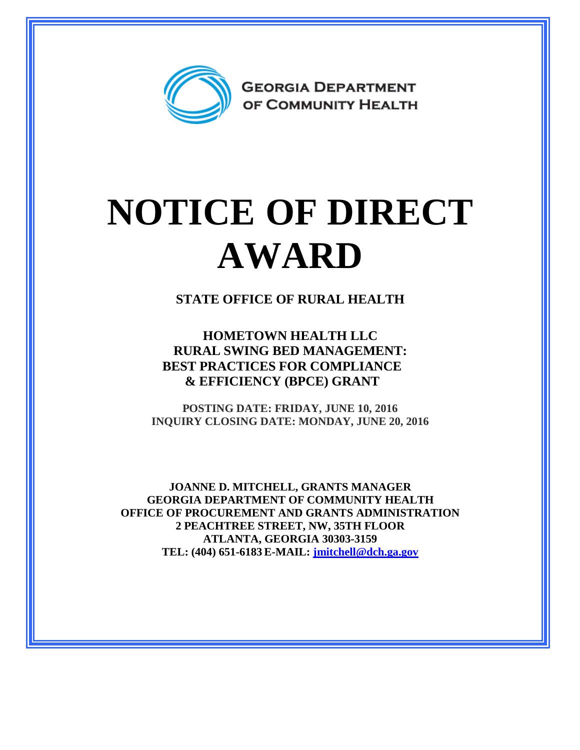

## **NOTICE OF DIRECT AWARD**

**STATE OFFICE OF RURAL HEALTH**

**HOMETOWN HEALTH LLC RURAL SWING BED MANAGEMENT: BEST PRACTICES FOR COMPLIANCE & EFFICIENCY (BPCE) GRANT**

**POSTING DATE: FRIDAY, JUNE 10, 2016 INQUIRY CLOSING DATE: MONDAY, JUNE 20, 2016**

**JOANNE D. MITCHELL, GRANTS MANAGER GEORGIA DEPARTMENT OF COMMUNITY HEALTH OFFICE OF PROCUREMENT AND GRANTS ADMINISTRATION 2 PEACHTREE STREET, NW, 35TH FLOOR ATLANTA, GEORGIA 30303-3159 TEL: (404) 651-6183 E-MAIL: [jmitchell@dch.ga.gov](mailto:awatson@dch.ga.gov)**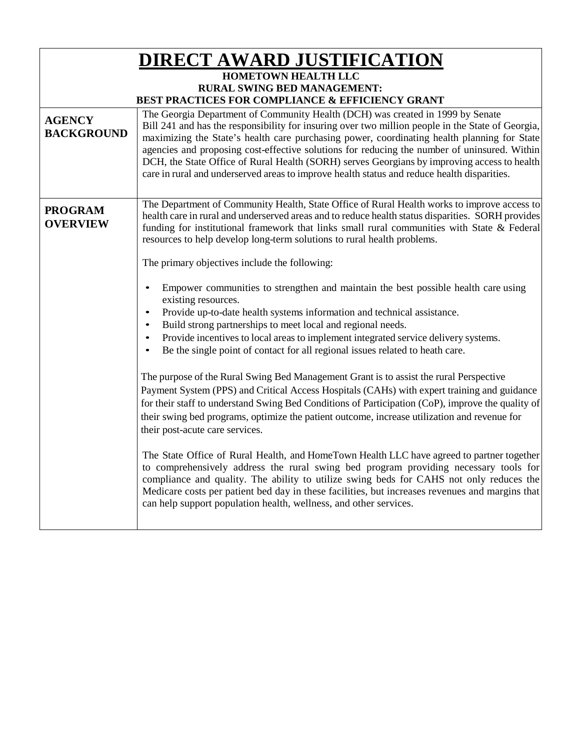| <u>DIRECT AWARD JUSTIFICATION</u><br><b>HOMETOWN HEALTH LLC</b> |                                                                                                                                                                                                                                                                                                                                                                                                                                                                                                                                                                                                                                      |  |
|-----------------------------------------------------------------|--------------------------------------------------------------------------------------------------------------------------------------------------------------------------------------------------------------------------------------------------------------------------------------------------------------------------------------------------------------------------------------------------------------------------------------------------------------------------------------------------------------------------------------------------------------------------------------------------------------------------------------|--|
| <b>RURAL SWING BED MANAGEMENT:</b>                              |                                                                                                                                                                                                                                                                                                                                                                                                                                                                                                                                                                                                                                      |  |
| <b>AGENCY</b><br><b>BACKGROUND</b>                              | BEST PRACTICES FOR COMPLIANCE & EFFICIENCY GRANT<br>The Georgia Department of Community Health (DCH) was created in 1999 by Senate<br>Bill 241 and has the responsibility for insuring over two million people in the State of Georgia,<br>maximizing the State's health care purchasing power, coordinating health planning for State<br>agencies and proposing cost-effective solutions for reducing the number of uninsured. Within<br>DCH, the State Office of Rural Health (SORH) serves Georgians by improving access to health<br>care in rural and underserved areas to improve health status and reduce health disparities. |  |
| <b>PROGRAM</b><br><b>OVERVIEW</b>                               | The Department of Community Health, State Office of Rural Health works to improve access to<br>health care in rural and underserved areas and to reduce health status disparities. SORH provides<br>funding for institutional framework that links small rural communities with State & Federal<br>resources to help develop long-term solutions to rural health problems.                                                                                                                                                                                                                                                           |  |
|                                                                 | The primary objectives include the following:                                                                                                                                                                                                                                                                                                                                                                                                                                                                                                                                                                                        |  |
|                                                                 | Empower communities to strengthen and maintain the best possible health care using<br>existing resources.<br>Provide up-to-date health systems information and technical assistance.<br>Build strong partnerships to meet local and regional needs.<br>Provide incentives to local areas to implement integrated service delivery systems.<br>Be the single point of contact for all regional issues related to heath care.                                                                                                                                                                                                          |  |
|                                                                 | The purpose of the Rural Swing Bed Management Grant is to assist the rural Perspective<br>Payment System (PPS) and Critical Access Hospitals (CAHs) with expert training and guidance<br>for their staff to understand Swing Bed Conditions of Participation (CoP), improve the quality of<br>their swing bed programs, optimize the patient outcome, increase utilization and revenue for<br>their post-acute care services.                                                                                                                                                                                                        |  |
|                                                                 | The State Office of Rural Health, and HomeTown Health LLC have agreed to partner together<br>to comprehensively address the rural swing bed program providing necessary tools for<br>compliance and quality. The ability to utilize swing beds for CAHS not only reduces the<br>Medicare costs per patient bed day in these facilities, but increases revenues and margins that<br>can help support population health, wellness, and other services.                                                                                                                                                                                 |  |